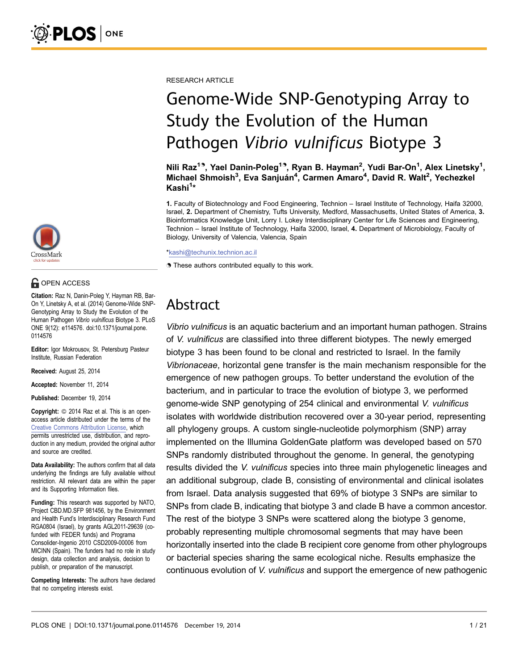

# **G** OPEN ACCESS

Citation: Raz N, Danin-Poleg Y, Hayman RB, Bar-On Y, Linetsky A, et al. (2014) Genome-Wide SNP-Genotyping Array to Study the Evolution of the Human Pathogen Vibrio vulnificus Biotype 3. PLoS ONE 9(12): e114576. doi:10.1371/journal.pone. 0114576

Editor: Igor Mokrousov, St. Petersburg Pasteur Institute, Russian Federation

Received: August 25, 2014

Accepted: November 11, 2014

Published: December 19, 2014

**Copyright:** © 2014 Raz et al. This is an openaccess article distributed under the terms of the [Creative Commons Attribution License,](http://creativecommons.org/licenses/by/4.0/) which permits unrestricted use, distribution, and reproduction in any medium, provided the original author and source are credited.

Data Availability: The authors confirm that all data underlying the findings are fully available without restriction. All relevant data are within the paper and its Supporting Information files.

Funding: This research was supported by NATO, Project CBD.MD.SFP 981456, by the Environment and Health Fund's Interdisciplinary Research Fund RGA0804 (Israel), by grants AGL2011-29639 (cofunded with FEDER funds) and Programa Consolider-Ingenio 2010 CSD2009-00006 from MICINN (Spain). The funders had no role in study design, data collection and analysis, decision to publish, or preparation of the manuscript.

Competing Interests: The authors have declared that no competing interests exist.

RESEARCH ARTICLE

# Genome-Wide SNP-Genotyping Array to Study the Evolution of the Human Pathogen Vibrio vulnificus Biotype 3

Nili Raz<sup>19</sup>, Yael Danin-Poleg<sup>19</sup>, Ryan B. Hayman<sup>2</sup>, Yudi Bar-On<sup>1</sup>, Alex Linetsky<sup>1</sup>, Michael Shmoish<sup>3</sup>, Eva Sanjuán<sup>4</sup>, Carmen Amaro<sup>4</sup>, David R. Walt<sup>2</sup>, Yechezkel Kashi<sup>1</sup>\*

1. Faculty of Biotechnology and Food Engineering, Technion – Israel Institute of Technology, Haifa 32000, Israel, 2. Department of Chemistry, Tufts University, Medford, Massachusetts, United States of America, 3. Bioinformatics Knowledge Unit, Lorry I. Lokey Interdisciplinary Center for Life Sciences and Engineering, Technion – Israel Institute of Technology, Haifa 32000, Israel, 4. Department of Microbiology, Faculty of Biology, University of Valencia, Valencia, Spain

\*kashi@techunix.technion.ac.il

**.** These authors contributed equally to this work.

# Abstract

Vibrio vulnificus is an aquatic bacterium and an important human pathogen. Strains of V. vulnificus are classified into three different biotypes. The newly emerged biotype 3 has been found to be clonal and restricted to Israel. In the family Vibrionaceae, horizontal gene transfer is the main mechanism responsible for the emergence of new pathogen groups. To better understand the evolution of the bacterium, and in particular to trace the evolution of biotype 3, we performed genome-wide SNP genotyping of 254 clinical and environmental V. vulnificus isolates with worldwide distribution recovered over a 30-year period, representing all phylogeny groups. A custom single-nucleotide polymorphism (SNP) array implemented on the Illumina GoldenGate platform was developed based on 570 SNPs randomly distributed throughout the genome. In general, the genotyping results divided the V. vulnificus species into three main phylogenetic lineages and an additional subgroup, clade B, consisting of environmental and clinical isolates from Israel. Data analysis suggested that 69% of biotype 3 SNPs are similar to SNPs from clade B, indicating that biotype 3 and clade B have a common ancestor. The rest of the biotype 3 SNPs were scattered along the biotype 3 genome, probably representing multiple chromosomal segments that may have been horizontally inserted into the clade B recipient core genome from other phylogroups or bacterial species sharing the same ecological niche. Results emphasize the continuous evolution of V. vulnificus and support the emergence of new pathogenic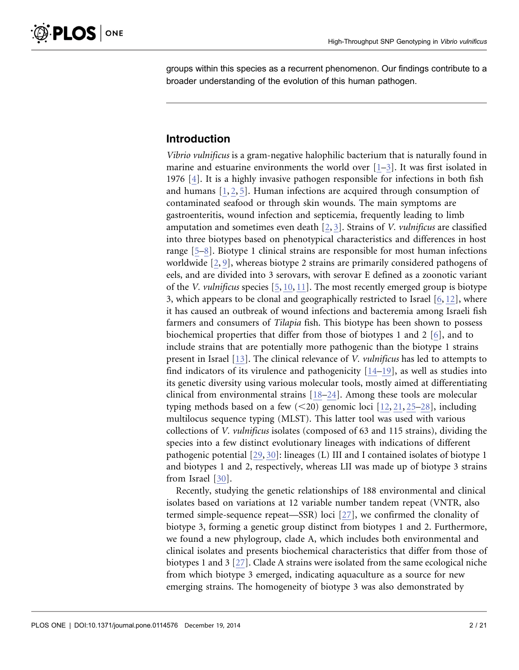groups within this species as a recurrent phenomenon. Our findings contribute to a broader understanding of the evolution of this human pathogen.

# Introduction

Vibrio vulnificus is a gram-negative halophilic bacterium that is naturally found in marine and estuarine environments the world over  $[1-3]$ . It was first isolated in 1976 [\[4\]](#page-17-0). It is a highly invasive pathogen responsible for infections in both fish and humans  $[1, 2, 5]$  $[1, 2, 5]$  $[1, 2, 5]$ . Human infections are acquired through consumption of contaminated seafood or through skin wounds. The main symptoms are gastroenteritis, wound infection and septicemia, frequently leading to limb amputation and sometimes even death  $[2, 3]$ . Strains of *V. vulnificus* are classified into three biotypes based on phenotypical characteristics and differences in host range [\[5–](#page-17-0)[8](#page-18-0)[\].](#page-17-0) Biotype 1 clinical strains are responsible for most human infections worldwide [\[2,](#page-17-0) [9](#page-18-0)[\]](#page-17-0), whereas biotype 2 strains are primarily considered pathogens of eels, and are divided into 3 serovars, with serovar E defined as a zoonotic variant of the *V. vulnificus* species  $[5, 10, 11]$  $[5, 10, 11]$  $[5, 10, 11]$  $[5, 10, 11]$  $[5, 10, 11]$ . The most recently emerged group is biotype 3, which appears to be clonal and geographically restricted to Israel [\[6,](#page-17-0) [12](#page-18-0)[\]](#page-17-0), where it has caused an outbreak of wound infections and bacteremia among Israeli fish farmers and consumers of Tilapia fish. This biotype has been shown to possess biochemical properties that differ from those of biotypes 1 and 2 [\[6\],](#page-17-0) and to include strains that are potentially more pathogenic than the biotype 1 strains present in Israel [\[13\]](#page-18-0). The clinical relevance of V. vulnificus has led to attempts to find indicators of its virulence and pathogenicity  $[14–19]$ , as well as studies into its genetic diversity using various molecular tools, mostly aimed at differentiating clinical from environmental strains [\[18–24\]](#page-18-0). Among these tools are molecular typing methods based on a few  $(<20)$  genomic loci [\[12,](#page-18-0) [21,](#page-18-0) [25–](#page-18-0)[28](#page-20-0)[\],](#page-18-0) including multilocus sequence typing (MLST). This latter tool was used with various collections of V. vulnificus isolates (composed of 63 and 115 strains), dividing the species into a few distinct evolutionary lineages with indications of different pathogenic potential [\[29,](#page-19-0) [30\]:](#page-19-0) lineages (L) III and I contained isolates of biotype 1 and biotypes 1 and 2, respectively, whereas LII was made up of biotype 3 strains from Israel [\[30\]](#page-19-0).

Recently, studying the genetic relationships of 188 environmental and clinical isolates based on variations at 12 variable number tandem repeat (VNTR, also termed simple-sequence repeat—SSR) loci [\[27\]](#page-18-0), we confirmed the clonality of biotype 3, forming a genetic group distinct from biotypes 1 and 2. Furthermore, we found a new phylogroup, clade A, which includes both environmental and clinical isolates and presents biochemical characteristics that differ from those of biotypes 1 and 3 [\[27\]](#page-18-0). Clade A strains were isolated from the same ecological niche from which biotype 3 emerged, indicating aquaculture as a source for new emerging strains. The homogeneity of biotype 3 was also demonstrated by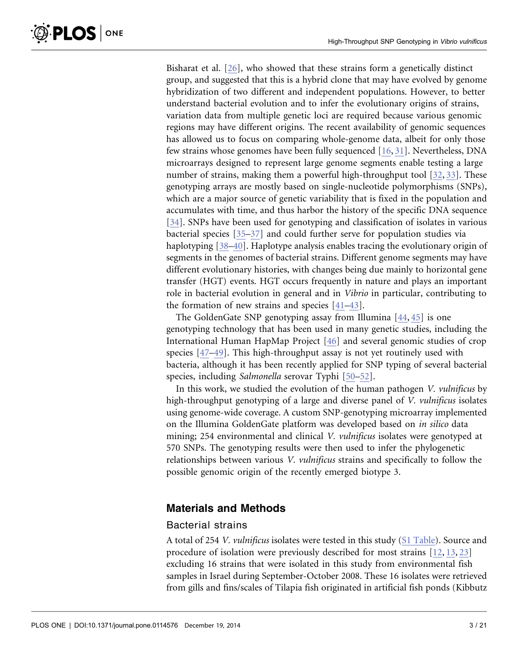Bisharat et al. [\[26\]](#page-18-0), who showed that these strains form a genetically distinct group, and suggested that this is a hybrid clone that may have evolved by genome hybridization of two different and independent populations. However, to better understand bacterial evolution and to infer the evolutionary origins of strains, variation data from multiple genetic loci are required because various genomic regions may have different origins. The recent availability of genomic sequences has allowed us to focus on comparing whole-genome data, albeit for only those few strains whose genomes have been fully sequenced [\[16,](#page-18-0) [31](#page-19-0)[\]](#page-18-0). Nevertheless, DNA microarrays designed to represent large genome segments enable testing a large number of strains, making them a powerful high-throughput tool [\[32,](#page-19-0) [33\]](#page-19-0). These genotyping arrays are mostly based on single-nucleotide polymorphisms (SNPs), which are a major source of genetic variability that is fixed in the population and accumulates with time, and thus harbor the history of the specific DNA sequence [\[34\].](#page-19-0) SNPs have been used for genotyping and classification of isolates in various bacterial species [\[35–37\]](#page-19-0) and could further serve for population studies via haplotyping [\[38–40\].](#page-19-0) Haplotype analysis enables tracing the evolutionary origin of segments in the genomes of bacterial strains. Different genome segments may have different evolutionary histories, with changes being due mainly to horizontal gene transfer (HGT) events. HGT occurs frequently in nature and plays an important role in bacterial evolution in general and in Vibrio in particular, contributing to the formation of new strains and species [\[41–43\].](#page-19-0)

The GoldenGate SNP genotyping assay from Illumina [\[44,](#page-19-0) [45\]](#page-19-0) is one genotyping technology that has been used in many genetic studies, including the International Human HapMap Project [\[46\]](#page-19-0) and several genomic studies of crop species [\[47–49\]](#page-19-0). This high-throughput assay is not yet routinely used with bacteria, although it has been recently applied for SNP typing of several bacterial species, including Salmonella serovar Typhi [\[50–52\]](#page-20-0).

In this work, we studied the evolution of the human pathogen V. *vulnificus* by high-throughput genotyping of a large and diverse panel of *V. vulnificus* isolates using genome-wide coverage. A custom SNP-genotyping microarray implemented on the Illumina GoldenGate platform was developed based on in silico data mining; 254 environmental and clinical V. vulnificus isolates were genotyped at 570 SNPs. The genotyping results were then used to infer the phylogenetic relationships between various V. vulnificus strains and specifically to follow the possible genomic origin of the recently emerged biotype 3.

### Materials and Methods

#### Bacterial strains

A total of 254 V. vulnificus isolates were tested in this study  $(S1$  Table). Source and procedure of isolation were previously described for most strains [\[12,](#page-18-0) [13,](#page-18-0) [23\]](#page-18-0) excluding 16 strains that were isolated in this study from environmental fish samples in Israel during September-October 2008. These 16 isolates were retrieved from gills and fins/scales of Tilapia fish originated in artificial fish ponds (Kibbutz

**PLOS** ONE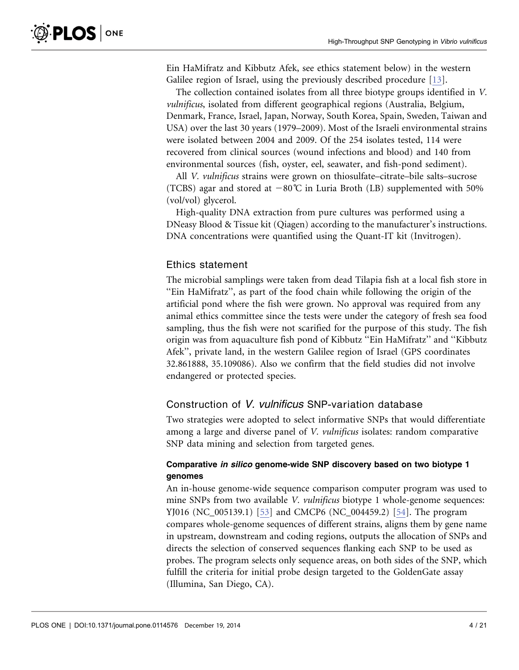Ein HaMifratz and Kibbutz Afek, see ethics statement below) in the western Galilee region of Israel, using the previously described procedure [\[13\].](#page-18-0)

The collection contained isolates from all three biotype groups identified in V. vulnificus, isolated from different geographical regions (Australia, Belgium, Denmark, France, Israel, Japan, Norway, South Korea, Spain, Sweden, Taiwan and USA) over the last 30 years (1979–2009). Most of the Israeli environmental strains were isolated between 2004 and 2009. Of the 254 isolates tested, 114 were recovered from clinical sources (wound infections and blood) and 140 from environmental sources (fish, oyster, eel, seawater, and fish-pond sediment).

All V. vulnificus strains were grown on thiosulfate–citrate–bile salts–sucrose (TCBS) agar and stored at  $-80^{\circ}$ C in Luria Broth (LB) supplemented with 50% (vol/vol) glycerol.

High-quality DNA extraction from pure cultures was performed using a DNeasy Blood & Tissue kit (Qiagen) according to the manufacturer's instructions. DNA concentrations were quantified using the Quant-IT kit (Invitrogen).

#### Ethics statement

The microbial samplings were taken from dead Tilapia fish at a local fish store in ''Ein HaMifratz'', as part of the food chain while following the origin of the artificial pond where the fish were grown. No approval was required from any animal ethics committee since the tests were under the category of fresh sea food sampling, thus the fish were not scarified for the purpose of this study. The fish origin was from aquaculture fish pond of Kibbutz ''Ein HaMifratz'' and ''Kibbutz Afek'', private land, in the western Galilee region of Israel (GPS coordinates 32.861888, 35.109086). Also we confirm that the field studies did not involve endangered or protected species.

#### Construction of V. vulnificus SNP-variation database

Two strategies were adopted to select informative SNPs that would differentiate among a large and diverse panel of V. vulnificus isolates: random comparative SNP data mining and selection from targeted genes.

#### Comparative in silico genome-wide SNP discovery based on two biotype 1 genomes

An in-house genome-wide sequence comparison computer program was used to mine SNPs from two available *V. vulnificus* biotype 1 whole-genome sequences: YJ016 (NC\_005139.1) [\[53\]](#page-20-0) and CMCP6 (NC\_004459.2) [\[54\]](#page-20-0). The program compares whole-genome sequences of different strains, aligns them by gene name in upstream, downstream and coding regions, outputs the allocation of SNPs and directs the selection of conserved sequences flanking each SNP to be used as probes. The program selects only sequence areas, on both sides of the SNP, which fulfill the criteria for initial probe design targeted to the GoldenGate assay (Illumina, San Diego, CA).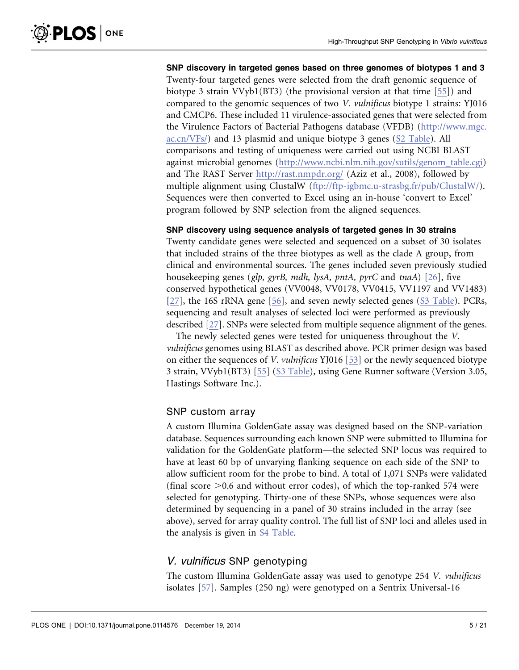SNP discovery in targeted genes based on three genomes of biotypes 1 and 3 Twenty-four targeted genes were selected from the draft genomic sequence of biotype 3 strain VVyb1(BT3) (the provisional version at that time [\[55\]\)](#page-20-0) and compared to the genomic sequences of two V. vulnificus biotype 1 strains: YJ016 and CMCP6. These included 11 virulence-associated genes that were selected from the Virulence Factors of Bacterial Pathogens database (VFDB) ([http://www.mgc.](http://www.mgc.ac.cn/VFs/) [ac.cn/VFs/\)](http://www.mgc.ac.cn/VFs/) and 13 plasmid and unique biotype 3 genes [\(S2 Table\)](#page-17-0). All comparisons and testing of uniqueness were carried out using NCBI BLAST against microbial genomes [\(http://www.ncbi.nlm.nih.gov/sutils/genom\\_table.cgi\)](http://www.ncbi.nlm.nih.gov/sutils/genom_table.cgi) and The RAST Server <http://rast.nmpdr.org/> (Aziz et al., 2008), followed by multiple alignment using ClustalW [\(ftp://ftp-igbmc.u-strasbg.fr/pub/ClustalW/\)](ftp://ftp-igbmc.u-strasbg.fr/pub/ClustalW/). Sequences were then converted to Excel using an in-house 'convert to Excel' program followed by SNP selection from the aligned sequences.

#### SNP discovery using sequence analysis of targeted genes in 30 strains

Twenty candidate genes were selected and sequenced on a subset of 30 isolates that included strains of the three biotypes as well as the clade A group, from clinical and environmental sources. The genes included seven previously studied housekeeping genes (glp, gyrB, mdh, lysA, pntA, pyrC and tnaA) [\[26\],](#page-18-0) five conserved hypothetical genes (VV0048, VV0178, VV0415, VV1197 and VV1483) [\[27\],](#page-18-0) the 16S rRNA gene [\[56\]](#page-20-0), and seven newly selected genes ([S3 Table](#page-17-0)). PCRs, sequencing and result analyses of selected loci were performed as previously described [\[27\]](#page-18-0). SNPs were selected from multiple sequence alignment of the genes.

The newly selected genes were tested for uniqueness throughout the V. vulnificus genomes using BLAST as described above. PCR primer design was based on either the sequences of V. vulnificus YJ016 [\[53\]](#page-20-0) or the newly sequenced biotype 3 strain, VVyb1(BT3) [\[55\]](#page-20-0) [\(S3 Table](#page-17-0)), using Gene Runner software (Version 3.05, Hastings Software Inc.).

#### SNP custom array

A custom Illumina GoldenGate assay was designed based on the SNP-variation database. Sequences surrounding each known SNP were submitted to Illumina for validation for the GoldenGate platform—the selected SNP locus was required to have at least 60 bp of unvarying flanking sequence on each side of the SNP to allow sufficient room for the probe to bind. A total of 1,071 SNPs were validated (final score  $>0.6$  and without error codes), of which the top-ranked 574 were selected for genotyping. Thirty-one of these SNPs, whose sequences were also determined by sequencing in a panel of 30 strains included in the array (see above), served for array quality control. The full list of SNP loci and alleles used in the analysis is given in [S4 Table.](#page-17-0)

#### V. vulnificus SNP genotyping

The custom Illumina GoldenGate assay was used to genotype 254 V. vulnificus isolates [\[57\]](#page-20-0). Samples (250 ng) were genotyped on a Sentrix Universal-16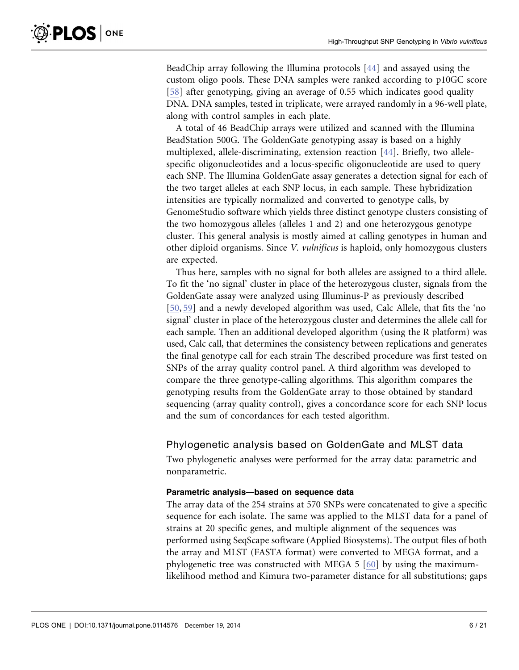BeadChip array following the Illumina protocols [\[44\]](#page-19-0) and assayed using the custom oligo pools. These DNA samples were ranked according to p10GC score [\[58\]](#page-20-0) after genotyping, giving an average of 0.55 which indicates good quality DNA. DNA samples, tested in triplicate, were arrayed randomly in a 96-well plate, along with control samples in each plate.

A total of 46 BeadChip arrays were utilized and scanned with the Illumina BeadStation 500G. The GoldenGate genotyping assay is based on a highly multiplexed, allele-discriminating, extension reaction [\[44\]](#page-19-0). Briefly, two allelespecific oligonucleotides and a locus-specific oligonucleotide are used to query each SNP. The Illumina GoldenGate assay generates a detection signal for each of the two target alleles at each SNP locus, in each sample. These hybridization intensities are typically normalized and converted to genotype calls, by GenomeStudio software which yields three distinct genotype clusters consisting of the two homozygous alleles (alleles 1 and 2) and one heterozygous genotype cluster. This general analysis is mostly aimed at calling genotypes in human and other diploid organisms. Since V. vulnificus is haploid, only homozygous clusters are expected.

Thus here, samples with no signal for both alleles are assigned to a third allele. To fit the 'no signal' cluster in place of the heterozygous cluster, signals from the GoldenGate assay were analyzed using Illuminus-P as previously described [\[50,](#page-20-0) [59\]](#page-20-0) and a newly developed algorithm was used, Calc Allele, that fits the 'no signal' cluster in place of the heterozygous cluster and determines the allele call for each sample. Then an additional developed algorithm (using the R platform) was used, Calc call, that determines the consistency between replications and generates the final genotype call for each strain The described procedure was first tested on SNPs of the array quality control panel. A third algorithm was developed to compare the three genotype-calling algorithms. This algorithm compares the genotyping results from the GoldenGate array to those obtained by standard sequencing (array quality control), gives a concordance score for each SNP locus and the sum of concordances for each tested algorithm.

#### Phylogenetic analysis based on GoldenGate and MLST data

Two phylogenetic analyses were performed for the array data: parametric and nonparametric.

#### Parametric analysis—based on sequence data

The array data of the 254 strains at 570 SNPs were concatenated to give a specific sequence for each isolate. The same was applied to the MLST data for a panel of strains at 20 specific genes, and multiple alignment of the sequences was performed using SeqScape software (Applied Biosystems). The output files of both the array and MLST (FASTA format) were converted to MEGA format, and a phylogenetic tree was constructed with MEGA 5 [\[60\]](#page-20-0) by using the maximumlikelihood method and Kimura two-parameter distance for all substitutions; gaps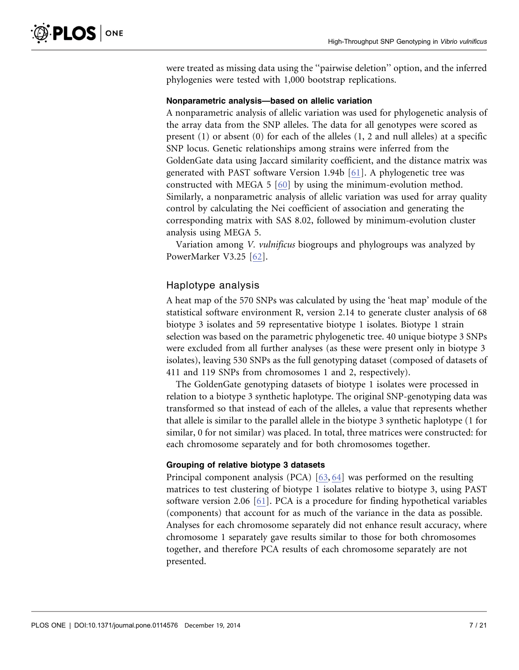were treated as missing data using the ''pairwise deletion'' option, and the inferred phylogenies were tested with 1,000 bootstrap replications.

#### Nonparametric analysis—based on allelic variation

A nonparametric analysis of allelic variation was used for phylogenetic analysis of the array data from the SNP alleles. The data for all genotypes were scored as present (1) or absent (0) for each of the alleles (1, 2 and null alleles) at a specific SNP locus. Genetic relationships among strains were inferred from the GoldenGate data using Jaccard similarity coefficient, and the distance matrix was generated with PAST software Version 1.94b [\[61\]](#page-20-0). A phylogenetic tree was constructed with MEGA 5 [\[60\]](#page-20-0) by using the minimum-evolution method. Similarly, a nonparametric analysis of allelic variation was used for array quality control by calculating the Nei coefficient of association and generating the corresponding matrix with SAS 8.02, followed by minimum-evolution cluster analysis using MEGA 5.

Variation among V. vulnificus biogroups and phylogroups was analyzed by PowerMarker V3.25 [\[62\].](#page-20-0)

#### Haplotype analysis

A heat map of the 570 SNPs was calculated by using the 'heat map' module of the statistical software environment R, version 2.14 to generate cluster analysis of 68 biotype 3 isolates and 59 representative biotype 1 isolates. Biotype 1 strain selection was based on the parametric phylogenetic tree. 40 unique biotype 3 SNPs were excluded from all further analyses (as these were present only in biotype 3 isolates), leaving 530 SNPs as the full genotyping dataset (composed of datasets of 411 and 119 SNPs from chromosomes 1 and 2, respectively).

The GoldenGate genotyping datasets of biotype 1 isolates were processed in relation to a biotype 3 synthetic haplotype. The original SNP-genotyping data was transformed so that instead of each of the alleles, a value that represents whether that allele is similar to the parallel allele in the biotype 3 synthetic haplotype (1 for similar, 0 for not similar) was placed. In total, three matrices were constructed: for each chromosome separately and for both chromosomes together.

#### Grouping of relative biotype 3 datasets

Principal component analysis (PCA) [\[63,](#page-20-0) [64\]](#page-20-0) was performed on the resulting matrices to test clustering of biotype 1 isolates relative to biotype 3, using PAST software version 2.06 [\[61\]](#page-20-0). PCA is a procedure for finding hypothetical variables (components) that account for as much of the variance in the data as possible. Analyses for each chromosome separately did not enhance result accuracy, where chromosome 1 separately gave results similar to those for both chromosomes together, and therefore PCA results of each chromosome separately are not presented.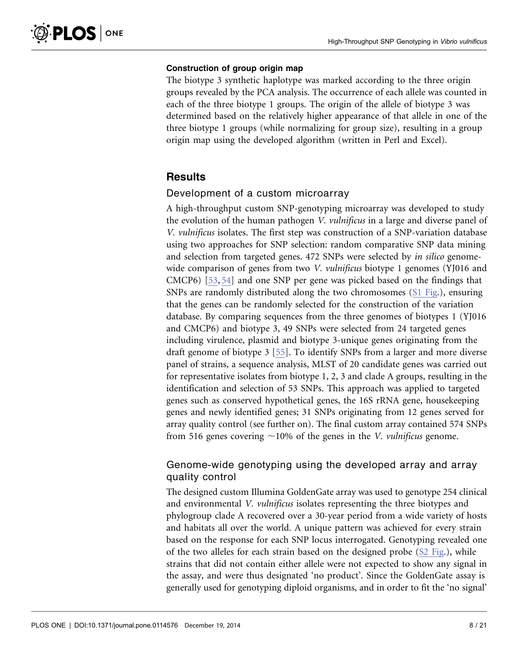# Construction of group origin map

The biotype 3 synthetic haplotype was marked according to the three origin groups revealed by the PCA analysis. The occurrence of each allele was counted in each of the three biotype 1 groups. The origin of the allele of biotype 3 was determined based on the relatively higher appearance of that allele in one of the three biotype 1 groups (while normalizing for group size), resulting in a group origin map using the developed algorithm (written in Perl and Excel).

# **Results**

# Development of a custom microarray

A high-throughput custom SNP-genotyping microarray was developed to study the evolution of the human pathogen *V. vulnificus* in a large and diverse panel of V. vulnificus isolates. The first step was construction of a SNP-variation database using two approaches for SNP selection: random comparative SNP data mining and selection from targeted genes. 472 SNPs were selected by in silico genomewide comparison of genes from two V. *vulnificus* biotype 1 genomes (YJ016 and CMCP6) [\[53,](#page-20-0) [54\]](#page-20-0) and one SNP per gene was picked based on the findings that SNPs are randomly distributed along the two chromosomes ([S1 Fig](#page-16-0).), ensuring that the genes can be randomly selected for the construction of the variation database. By comparing sequences from the three genomes of biotypes 1 (YJ016 and CMCP6) and biotype 3, 49 SNPs were selected from 24 targeted genes including virulence, plasmid and biotype 3-unique genes originating from the draft genome of biotype 3 [\[55\].](#page-20-0) To identify SNPs from a larger and more diverse panel of strains, a sequence analysis, MLST of 20 candidate genes was carried out for representative isolates from biotype 1, 2, 3 and clade A groups, resulting in the identification and selection of 53 SNPs. This approach was applied to targeted genes such as conserved hypothetical genes, the 16S rRNA gene, housekeeping genes and newly identified genes; 31 SNPs originating from 12 genes served for array quality control (see further on). The final custom array contained 574 SNPs from 516 genes covering  $\sim$ 10% of the genes in the *V. vulnificus* genome.

# Genome-wide genotyping using the developed array and array quality control

The designed custom Illumina GoldenGate array was used to genotype 254 clinical and environmental V. vulnificus isolates representing the three biotypes and phylogroup clade A recovered over a 30-year period from a wide variety of hosts and habitats all over the world. A unique pattern was achieved for every strain based on the response for each SNP locus interrogated. Genotyping revealed one of the two alleles for each strain based on the designed probe ([S2 Fig.](#page-16-0)), while strains that did not contain either allele were not expected to show any signal in the assay, and were thus designated 'no product'. Since the GoldenGate assay is generally used for genotyping diploid organisms, and in order to fit the 'no signal'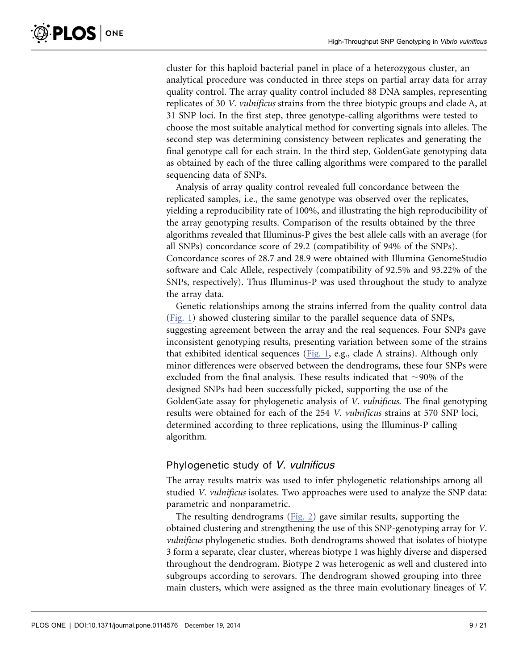cluster for this haploid bacterial panel in place of a heterozygous cluster, an analytical procedure was conducted in three steps on partial array data for array quality control. The array quality control included 88 DNA samples, representing replicates of 30 V. vulnificus strains from the three biotypic groups and clade A, at 31 SNP loci. In the first step, three genotype-calling algorithms were tested to choose the most suitable analytical method for converting signals into alleles. The second step was determining consistency between replicates and generating the final genotype call for each strain. In the third step, GoldenGate genotyping data as obtained by each of the three calling algorithms were compared to the parallel sequencing data of SNPs.

Analysis of array quality control revealed full concordance between the replicated samples, i.e., the same genotype was observed over the replicates, yielding a reproducibility rate of 100%, and illustrating the high reproducibility of the array genotyping results. Comparison of the results obtained by the three algorithms revealed that Illuminus-P gives the best allele calls with an average (for all SNPs) concordance score of 29.2 (compatibility of 94% of the SNPs). Concordance scores of 28.7 and 28.9 were obtained with Illumina GenomeStudio software and Calc Allele, respectively (compatibility of 92.5% and 93.22% of the SNPs, respectively). Thus Illuminus-P was used throughout the study to analyze the array data.

Genetic relationships among the strains inferred from the quality control data ([Fig. 1\)](#page-9-0) showed clustering similar to the parallel sequence data of SNPs, suggesting agreement between the array and the real sequences. Four SNPs gave inconsistent genotyping results, presenting variation between some of the strains that exhibited identical sequences ([Fig. 1](#page-9-0), e.g., clade A strains). Although only minor differences were observed between the dendrograms, these four SNPs were excluded from the final analysis. These results indicated that  $\sim$ 90% of the designed SNPs had been successfully picked, supporting the use of the GoldenGate assay for phylogenetic analysis of V. vulnificus. The final genotyping results were obtained for each of the 254 V. vulnificus strains at 570 SNP loci, determined according to three replications, using the Illuminus-P calling algorithm.

#### Phylogenetic study of V. vulnificus

The array results matrix was used to infer phylogenetic relationships among all studied V. vulnificus isolates. Two approaches were used to analyze the SNP data: parametric and nonparametric.

The resulting dendrograms ([Fig. 2](#page-10-0)) gave similar results, supporting the obtained clustering and strengthening the use of this SNP-genotyping array for V. vulnificus phylogenetic studies. Both dendrograms showed that isolates of biotype 3 form a separate, clear cluster, whereas biotype 1 was highly diverse and dispersed throughout the dendrogram. Biotype 2 was heterogenic as well and clustered into subgroups according to serovars. The dendrogram showed grouping into three main clusters, which were assigned as the three main evolutionary lineages of V.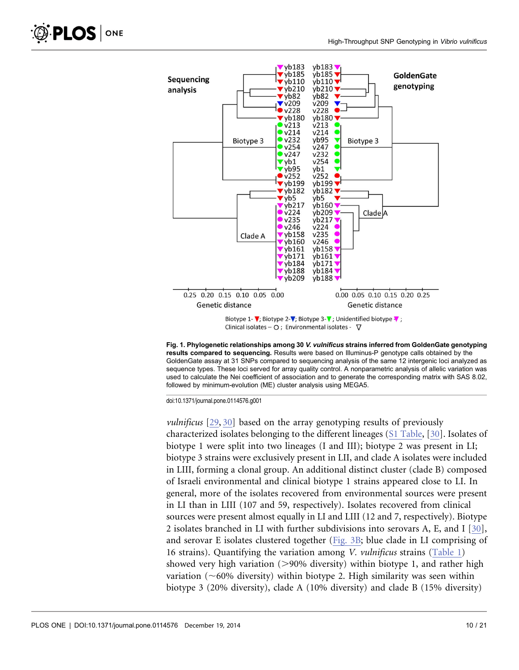<span id="page-9-0"></span>

Fig. 1. Phylogenetic relationships among 30 V. vulnificus strains inferred from GoldenGate genotyping results compared to sequencing. Results were based on Illuminus-P genotype calls obtained by the GoldenGate assay at 31 SNPs compared to sequencing analysis of the same 12 intergenic loci analyzed as sequence types. These loci served for array quality control. A nonparametric analysis of allelic variation was used to calculate the Nei coefficient of association and to generate the corresponding matrix with SAS 8.02, followed by minimum-evolution (ME) cluster analysis using MEGA5.

doi:10.1371/journal.pone.0114576.g001

vulnificus [\[29,](#page-19-0) [30\]](#page-19-0) based on the array genotyping results of previously characterized isolates belonging to the different lineages [\(S1 Table](#page-17-0), [\[30\]](#page-19-0). Isolates of biotype 1 were split into two lineages (I and III); biotype 2 was present in LI; biotype 3 strains were exclusively present in LII, and clade A isolates were included in LIII, forming a clonal group. An additional distinct cluster (clade B) composed of Israeli environmental and clinical biotype 1 strains appeared close to LI. In general, more of the isolates recovered from environmental sources were present in LI than in LIII (107 and 59, respectively). Isolates recovered from clinical sources were present almost equally in LI and LIII (12 and 7, respectively). Biotype 2 isolates branched in LI with further subdivisions into serovars A, E, and I [\[30\]](#page-19-0), and serovar E isolates clustered together ([Fig. 3B;](#page-11-0) blue clade in LI comprising of 16 strains). Quantifying the variation among V. vulnificus strains [\(Table 1\)](#page-11-0) showed very high variation  $(>\!\!>90\%$  diversity) within biotype 1, and rather high variation ( $\sim$ 60% diversity) within biotype 2. High similarity was seen within biotype 3 (20% diversity), clade A (10% diversity) and clade B (15% diversity)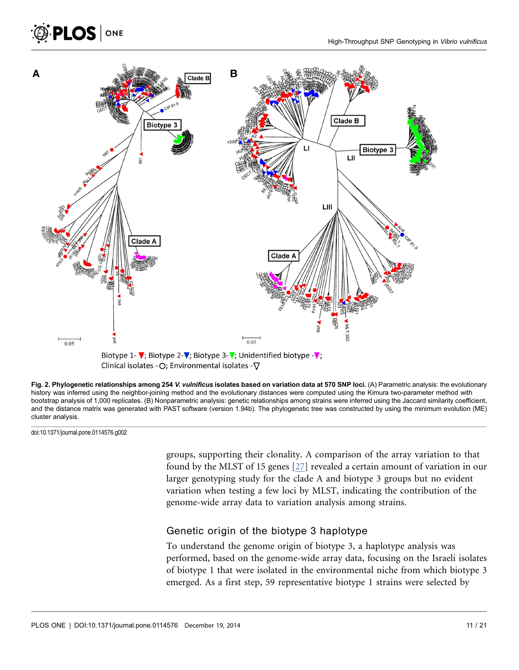



Fig. 2. Phylogenetic relationships among 254 V. vulnificus isolates based on variation data at 570 SNP loci. (A) Parametric analysis: the evolutionary history was inferred using the neighbor-joining method and the evolutionary distances were computed using the Kimura two-parameter method with bootstrap analysis of 1,000 replicates. (B) Nonparametric analysis: genetic relationships among strains were inferred using the Jaccard similarity coefficient, and the distance matrix was generated with PAST software (version 1.94b). The phylogenetic tree was constructed by using the minimum evolution (ME) cluster analysis.

doi:10.1371/journal.pone.0114576.g002

<span id="page-10-0"></span> $\hat{\textbf{S}}$  PLOS  $|\text{one}|$ 

groups, supporting their clonality. A comparison of the array variation to that found by the MLST of 15 genes [\[27\]](#page-18-0) revealed a certain amount of variation in our larger genotyping study for the clade A and biotype 3 groups but no evident variation when testing a few loci by MLST, indicating the contribution of the genome-wide array data to variation analysis among strains.

#### Genetic origin of the biotype 3 haplotype

To understand the genome origin of biotype 3, a haplotype analysis was performed, based on the genome-wide array data, focusing on the Israeli isolates of biotype 1 that were isolated in the environmental niche from which biotype 3 emerged. As a first step, 59 representative biotype 1 strains were selected by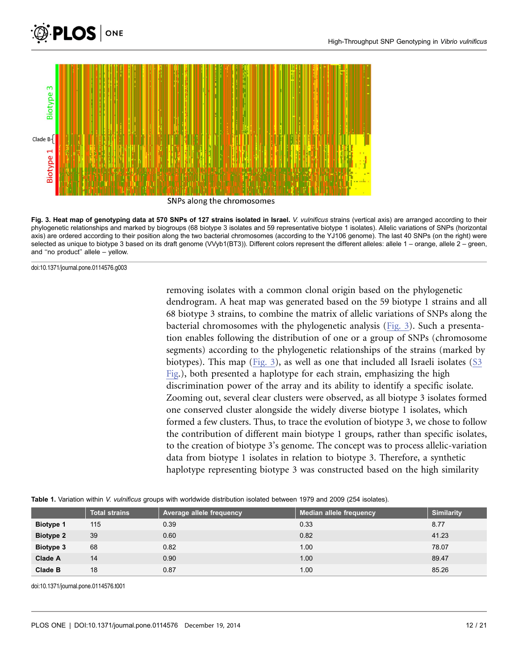<span id="page-11-0"></span>



Fig. 3. Heat map of genotyping data at 570 SNPs of 127 strains isolated in Israel. V. vulnificus strains (vertical axis) are arranged according to their phylogenetic relationships and marked by biogroups (68 biotype 3 isolates and 59 representative biotype 1 isolates). Allelic variations of SNPs (horizontal axis) are ordered according to their position along the two bacterial chromosomes (according to the YJ106 genome). The last 40 SNPs (on the right) were selected as unique to biotype 3 based on its draft genome (VVyb1(BT3)). Different colors represent the different alleles: allele 1 – orange, allele 2 – green, and ''no product'' allele – yellow.

doi:10.1371/journal.pone.0114576.g003

removing isolates with a common clonal origin based on the phylogenetic dendrogram. A heat map was generated based on the 59 biotype 1 strains and all 68 biotype 3 strains, to combine the matrix of allelic variations of SNPs along the bacterial chromosomes with the phylogenetic analysis (Fig. 3). Such a presentation enables following the distribution of one or a group of SNPs (chromosome segments) according to the phylogenetic relationships of the strains (marked by biotypes). This map (Fig. 3), as well as one that included all Israeli isolates [\(S3](#page-16-0) [Fig.](#page-16-0)), both presented a haplotype for each strain, emphasizing the high discrimination power of the array and its ability to identify a specific isolate. Zooming out, several clear clusters were observed, as all biotype 3 isolates formed one conserved cluster alongside the widely diverse biotype 1 isolates, which formed a few clusters. Thus, to trace the evolution of biotype 3, we chose to follow the contribution of different main biotype 1 groups, rather than specific isolates, to the creation of biotype 3's genome. The concept was to process allelic-variation data from biotype 1 isolates in relation to biotype 3. Therefore, a synthetic haplotype representing biotype 3 was constructed based on the high similarity

|  | Table 1. Variation within V. vulnificus groups with worldwide distribution isolated between 1979 and 2009 (254 isolates). |  |  |  |  |
|--|---------------------------------------------------------------------------------------------------------------------------|--|--|--|--|
|  |                                                                                                                           |  |  |  |  |

|                  | <b>Total strains</b> | Average allele frequency | Median allele frequency | <b>Similarity</b> |
|------------------|----------------------|--------------------------|-------------------------|-------------------|
| <b>Biotype 1</b> | 115                  | 0.39                     | 0.33                    | 8.77              |
| <b>Biotype 2</b> | 39                   | 0.60                     | 0.82                    | 41.23             |
| <b>Biotype 3</b> | 68                   | 0.82                     | 1.00                    | 78.07             |
| Clade A          | 14                   | 0.90                     | 1.00                    | 89.47             |
| <b>Clade B</b>   | 18                   | 0.87                     | 1.00                    | 85.26             |

doi:10.1371/journal.pone.0114576.t001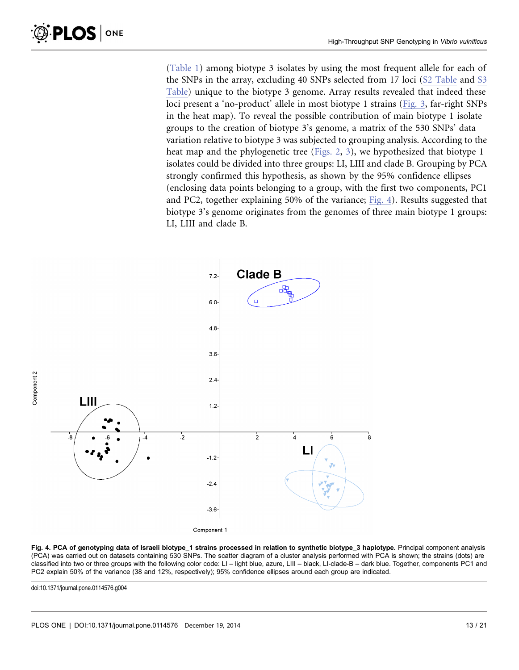([Table 1](#page-11-0)) among biotype 3 isolates by using the most frequent allele for each of the SNPs in the array, excluding 40 SNPs selected from 17 loci [\(S2 Table](#page-17-0) and [S3](#page-17-0) [Table\)](#page-17-0) unique to the biotype 3 genome. Array results revealed that indeed these loci present a 'no-product' allele in most biotype 1 strains [\(Fig. 3,](#page-11-0) far-right SNPs in the heat map). To reveal the possible contribution of main biotype 1 isolate groups to the creation of biotype 3's genome, a matrix of the 530 SNPs' data variation relative to biotype 3 was subjected to grouping analysis. According to the heat map and the phylogenetic tree [\(Figs. 2,](#page-10-0) [3\)](#page-11-0), we hypothesized that biotype 1 isolates could be divided into three groups: LI, LIII and clade B. Grouping by PCA strongly confirmed this hypothesis, as shown by the 95% confidence ellipses (enclosing data points belonging to a group, with the first two components, PC1 and PC2, together explaining 50% of the variance; Fig. 4). Results suggested that biotype 3's genome originates from the genomes of three main biotype 1 groups: LI, LIII and clade B.



Fig. 4. PCA of genotyping data of Israeli biotype 1 strains processed in relation to synthetic biotype 3 haplotype. Principal component analysis (PCA) was carried out on datasets containing 530 SNPs. The scatter diagram of a cluster analysis performed with PCA is shown; the strains (dots) are classified into two or three groups with the following color code: LI - light blue, azure, LIII - black, LI-clade-B - dark blue. Together, components PC1 and PC2 explain 50% of the variance (38 and 12%, respectively); 95% confidence ellipses around each group are indicated.

doi:10.1371/journal.pone.0114576.g004

<span id="page-12-0"></span>**PLOS** ONE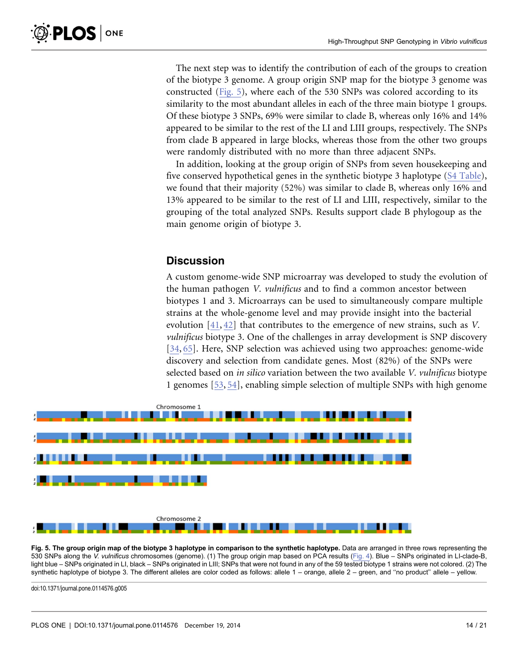<span id="page-13-0"></span>The next step was to identify the contribution of each of the groups to creation of the biotype 3 genome. A group origin SNP map for the biotype 3 genome was constructed (Fig. 5), where each of the 530 SNPs was colored according to its similarity to the most abundant alleles in each of the three main biotype 1 groups. Of these biotype 3 SNPs, 69% were similar to clade B, whereas only 16% and 14% appeared to be similar to the rest of the LI and LIII groups, respectively. The SNPs from clade B appeared in large blocks, whereas those from the other two groups were randomly distributed with no more than three adjacent SNPs.

In addition, looking at the group origin of SNPs from seven housekeeping and five conserved hypothetical genes in the synthetic biotype 3 haplotype [\(S4 Table\)](#page-17-0), we found that their majority (52%) was similar to clade B, whereas only 16% and 13% appeared to be similar to the rest of LI and LIII, respectively, similar to the grouping of the total analyzed SNPs. Results support clade B phylogoup as the main genome origin of biotype 3.

# **Discussion**

A custom genome-wide SNP microarray was developed to study the evolution of the human pathogen V. vulnificus and to find a common ancestor between biotypes 1 and 3. Microarrays can be used to simultaneously compare multiple strains at the whole-genome level and may provide insight into the bacterial evolution [\[41,](#page-19-0) [42\]](#page-19-0) that contributes to the emergence of new strains, such as V. vulnificus biotype 3. One of the challenges in array development is SNP discovery [\[34,](#page-19-0) [65](#page-20-0)[\]](#page-19-0). Here, SNP selection was achieved using two approaches: genome-wide discovery and selection from candidate genes. Most (82%) of the SNPs were selected based on in silico variation between the two available V. vulnificus biotype 1 genomes [\[53,](#page-20-0) [54\],](#page-20-0) enabling simple selection of multiple SNPs with high genome



Fig. 5. The group origin map of the biotype 3 haplotype in comparison to the synthetic haplotype. Data are arranged in three rows representing the 530 SNPs along the V. vulnificus chromosomes (genome). (1) The group origin map based on PCA results ([Fig. 4](#page-12-0)). Blue – SNPs originated in LI-clade-B, light blue – SNPs originated in LI, black – SNPs originated in LIII; SNPs that were not found in any of the 59 tested biotype 1 strains were not colored. (2) The synthetic haplotype of biotype 3. The different alleles are color coded as follows: allele 1 – orange, allele 2 – green, and ''no product'' allele – yellow.

doi:10.1371/journal.pone.0114576.g005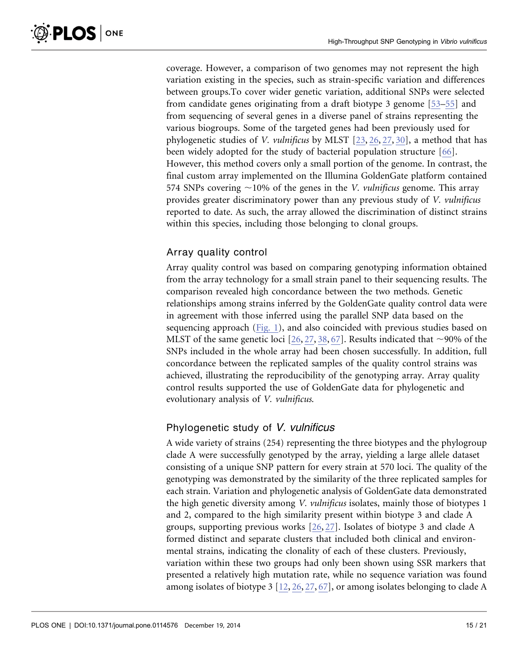coverage. However, a comparison of two genomes may not represent the high variation existing in the species, such as strain-specific variation and differences between groups.To cover wider genetic variation, additional SNPs were selected from candidate genes originating from a draft biotype 3 genome [\[53–55\]](#page-20-0) and from sequencing of several genes in a diverse panel of strains representing the various biogroups. Some of the targeted genes had been previously used for phylogenetic studies of V. vulnificus by MLST [\[23,](#page-18-0) [26,](#page-18-0) [27,](#page-18-0) [30](#page-19-0)[\]](#page-18-0), a method that has been widely adopted for the study of bacterial population structure [\[66\]](#page-20-0). However, this method covers only a small portion of the genome. In contrast, the final custom array implemented on the Illumina GoldenGate platform contained 574 SNPs covering  $\sim$ 10% of the genes in the *V. vulnificus* genome. This array provides greater discriminatory power than any previous study of V. vulnificus reported to date. As such, the array allowed the discrimination of distinct strains within this species, including those belonging to clonal groups.

#### Array quality control

Array quality control was based on comparing genotyping information obtained from the array technology for a small strain panel to their sequencing results. The comparison revealed high concordance between the two methods. Genetic relationships among strains inferred by the GoldenGate quality control data were in agreement with those inferred using the parallel SNP data based on the sequencing approach [\(Fig. 1\)](#page-9-0), and also coincided with previous studies based on MLST of the same genetic loci [\[26,](#page-18-0) [27,](#page-18-0) [38,](#page-19-0) [67](#page-20-0)[\]](#page-18-0). Results indicated that  $\sim$ 90% of the SNPs included in the whole array had been chosen successfully. In addition, full concordance between the replicated samples of the quality control strains was achieved, illustrating the reproducibility of the genotyping array. Array quality control results supported the use of GoldenGate data for phylogenetic and evolutionary analysis of V. vulnificus.

# Phylogenetic study of V. vulnificus

A wide variety of strains (254) representing the three biotypes and the phylogroup clade A were successfully genotyped by the array, yielding a large allele dataset consisting of a unique SNP pattern for every strain at 570 loci. The quality of the genotyping was demonstrated by the similarity of the three replicated samples for each strain. Variation and phylogenetic analysis of GoldenGate data demonstrated the high genetic diversity among V. vulnificus isolates, mainly those of biotypes 1 and 2, compared to the high similarity present within biotype 3 and clade A groups, supporting previous works [\[26,](#page-18-0) [27\]](#page-18-0). Isolates of biotype 3 and clade A formed distinct and separate clusters that included both clinical and environmental strains, indicating the clonality of each of these clusters. Previously, variation within these two groups had only been shown using SSR markers that presented a relatively high mutation rate, while no sequence variation was found among isolates of biotype 3 [\[12,](#page-18-0) [26,](#page-18-0) [27,](#page-18-0) [67](#page-20-0)[\]](#page-18-0), or among isolates belonging to clade A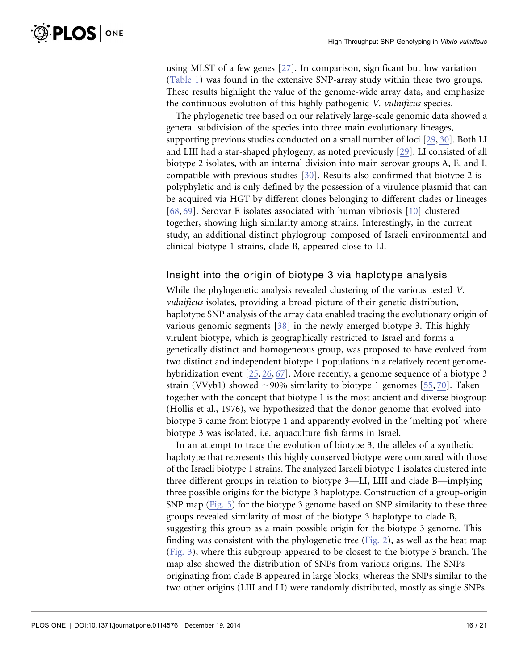using MLST of a few genes [\[27\].](#page-18-0) In comparison, significant but low variation ([Table 1](#page-11-0)) was found in the extensive SNP-array study within these two groups. These results highlight the value of the genome-wide array data, and emphasize the continuous evolution of this highly pathogenic V. vulnificus species.

The phylogenetic tree based on our relatively large-scale genomic data showed a general subdivision of the species into three main evolutionary lineages, supporting previous studies conducted on a small number of loci [\[29,](#page-19-0) [30\]](#page-19-0). Both LI and LIII had a star-shaped phylogeny, as noted previously [\[29\]](#page-19-0). LI consisted of all biotype 2 isolates, with an internal division into main serovar groups A, E, and I, compatible with previous studies [\[30\].](#page-19-0) Results also confirmed that biotype 2 is polyphyletic and is only defined by the possession of a virulence plasmid that can be acquired via HGT by different clones belonging to different clades or lineages [\[68,](#page-20-0) [69\]](#page-20-0). Serovar E isolates associated with human vibriosis [\[10\]](#page-18-0) clustered together, showing high similarity among strains. Interestingly, in the current study, an additional distinct phylogroup composed of Israeli environmental and clinical biotype 1 strains, clade B, appeared close to LI.

#### Insight into the origin of biotype 3 via haplotype analysis

While the phylogenetic analysis revealed clustering of the various tested V. vulnificus isolates, providing a broad picture of their genetic distribution, haplotype SNP analysis of the array data enabled tracing the evolutionary origin of various genomic segments [\[38\]](#page-19-0) in the newly emerged biotype 3. This highly virulent biotype, which is geographically restricted to Israel and forms a genetically distinct and homogeneous group, was proposed to have evolved from two distinct and independent biotype 1 populations in a relatively recent genomehybridization event [\[25,](#page-18-0) [26,](#page-18-0) [67](#page-20-0)[\].](#page-18-0) More recently, a genome sequence of a biotype 3 strain (VVyb1) showed  $\sim$ 90% similarity to biotype 1 genomes [\[55,](#page-20-0) [70\]](#page-20-0). Taken together with the concept that biotype 1 is the most ancient and diverse biogroup (Hollis et al., 1976), we hypothesized that the donor genome that evolved into biotype 3 came from biotype 1 and apparently evolved in the 'melting pot' where biotype 3 was isolated, i.e. aquaculture fish farms in Israel.

In an attempt to trace the evolution of biotype 3, the alleles of a synthetic haplotype that represents this highly conserved biotype were compared with those of the Israeli biotype 1 strains. The analyzed Israeli biotype 1 isolates clustered into three different groups in relation to biotype 3—LI, LIII and clade B—implying three possible origins for the biotype 3 haplotype. Construction of a group-origin SNP map [\(Fig. 5\)](#page-13-0) for the biotype 3 genome based on SNP similarity to these three groups revealed similarity of most of the biotype 3 haplotype to clade B, suggesting this group as a main possible origin for the biotype 3 genome. This finding was consistent with the phylogenetic tree ([Fig. 2](#page-10-0)), as well as the heat map ([Fig. 3\)](#page-11-0), where this subgroup appeared to be closest to the biotype 3 branch. The map also showed the distribution of SNPs from various origins. The SNPs originating from clade B appeared in large blocks, whereas the SNPs similar to the two other origins (LIII and LI) were randomly distributed, mostly as single SNPs.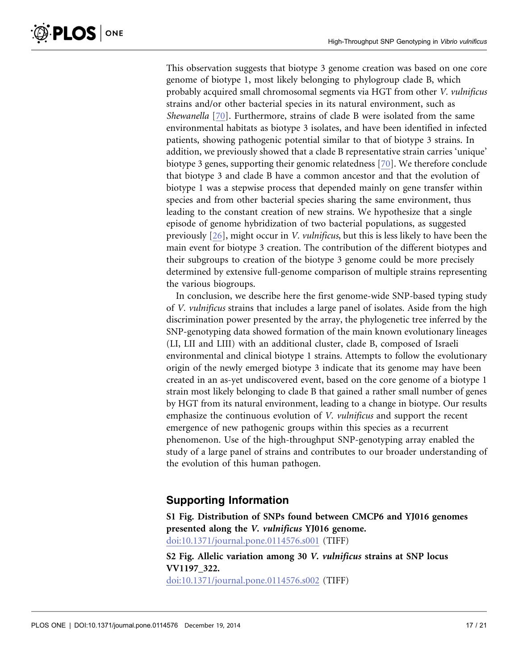<span id="page-16-0"></span>This observation suggests that biotype 3 genome creation was based on one core genome of biotype 1, most likely belonging to phylogroup clade B, which probably acquired small chromosomal segments via HGT from other V. vulnificus strains and/or other bacterial species in its natural environment, such as Shewanella [\[70\].](#page-20-0) Furthermore, strains of clade B were isolated from the same environmental habitats as biotype 3 isolates, and have been identified in infected patients, showing pathogenic potential similar to that of biotype 3 strains. In addition, we previously showed that a clade B representative strain carries 'unique' biotype 3 genes, supporting their genomic relatedness [\[70\].](#page-20-0) We therefore conclude that biotype 3 and clade B have a common ancestor and that the evolution of biotype 1 was a stepwise process that depended mainly on gene transfer within species and from other bacterial species sharing the same environment, thus leading to the constant creation of new strains. We hypothesize that a single episode of genome hybridization of two bacterial populations, as suggested previously  $[26]$ , might occur in *V. vulnificus*, but this is less likely to have been the main event for biotype 3 creation. The contribution of the different biotypes and their subgroups to creation of the biotype 3 genome could be more precisely determined by extensive full-genome comparison of multiple strains representing the various biogroups.

In conclusion, we describe here the first genome-wide SNP-based typing study of V. vulnificus strains that includes a large panel of isolates. Aside from the high discrimination power presented by the array, the phylogenetic tree inferred by the SNP-genotyping data showed formation of the main known evolutionary lineages (LI, LII and LIII) with an additional cluster, clade B, composed of Israeli environmental and clinical biotype 1 strains. Attempts to follow the evolutionary origin of the newly emerged biotype 3 indicate that its genome may have been created in an as-yet undiscovered event, based on the core genome of a biotype 1 strain most likely belonging to clade B that gained a rather small number of genes by HGT from its natural environment, leading to a change in biotype. Our results emphasize the continuous evolution of V. vulnificus and support the recent emergence of new pathogenic groups within this species as a recurrent phenomenon. Use of the high-throughput SNP-genotyping array enabled the study of a large panel of strains and contributes to our broader understanding of the evolution of this human pathogen.

#### Supporting Information

S1 Fig. Distribution of SNPs found between CMCP6 and YJ016 genomes presented along the V. vulnificus YJ016 genome. [doi:10.1371/journal.pone.0114576.s001](http://www.plosone.org/article/fetchSingleRepresentation.action?uri=info:doi/10.1371/journal.pone.0114576.s001) (TIFF)

S2 Fig. Allelic variation among 30 V. vulnificus strains at SNP locus VV1197\_322. [doi:10.1371/journal.pone.0114576.s002](http://www.plosone.org/article/fetchSingleRepresentation.action?uri=info:doi/10.1371/journal.pone.0114576.s002) (TIFF)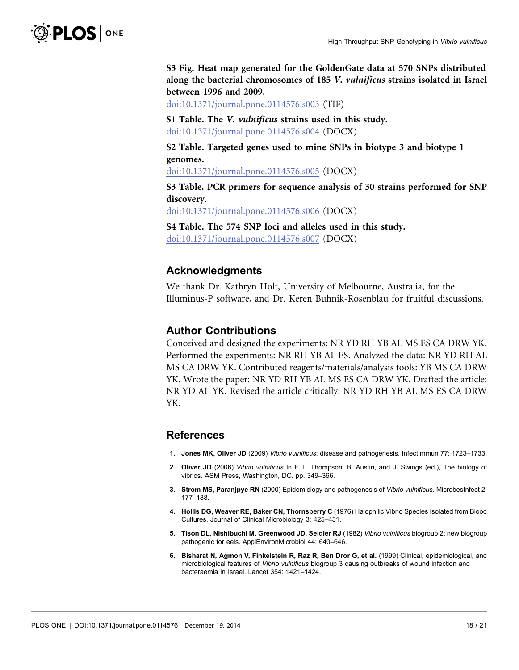<span id="page-17-0"></span>S3 Fig. Heat map generated for the GoldenGate data at 570 SNPs distributed along the bacterial chromosomes of 185 V. vulnificus strains isolated in Israel between 1996 and 2009.

[doi:10.1371/journal.pone.0114576.s003](http://www.plosone.org/article/fetchSingleRepresentation.action?uri=info:doi/10.1371/journal.pone.0114576.s003) (TIF)

S1 Table. The *V. vulnificus* strains used in this study. [doi:10.1371/journal.pone.0114576.s004](http://www.plosone.org/article/fetchSingleRepresentation.action?uri=info:doi/10.1371/journal.pone.0114576.s004) (DOCX)

S2 Table. Targeted genes used to mine SNPs in biotype 3 and biotype 1 genomes.

[doi:10.1371/journal.pone.0114576.s005](http://www.plosone.org/article/fetchSingleRepresentation.action?uri=info:doi/10.1371/journal.pone.0114576.s005) (DOCX)

S3 Table. PCR primers for sequence analysis of 30 strains performed for SNP discovery.

[doi:10.1371/journal.pone.0114576.s006](http://www.plosone.org/article/fetchSingleRepresentation.action?uri=info:doi/10.1371/journal.pone.0114576.s006) (DOCX)

S4 Table. The 574 SNP loci and alleles used in this study. [doi:10.1371/journal.pone.0114576.s007](http://www.plosone.org/article/fetchSingleRepresentation.action?uri=info:doi/10.1371/journal.pone.0114576.s007) (DOCX)

#### Acknowledgments

We thank Dr. Kathryn Holt, University of Melbourne, Australia, for the Illuminus-P software, and Dr. Keren Buhnik-Rosenblau for fruitful discussions.

#### Author Contributions

Conceived and designed the experiments: NR YD RH YB AL MS ES CA DRW YK. Performed the experiments: NR RH YB AL ES. Analyzed the data: NR YD RH AL MS CA DRW YK. Contributed reagents/materials/analysis tools: YB MS CA DRW YK. Wrote the paper: NR YD RH YB AL MS ES CA DRW YK. Drafted the article: NR YD AL YK. Revised the article critically: NR YD RH YB AL MS ES CA DRW YK.

#### References

- 1. Jones MK, Oliver JD (2009) Vibrio vulnificus: disease and pathogenesis. InfectImmun 77: 1723-1733.
- 2. Oliver JD (2006) Vibrio vulnificus In F. L. Thompson, B. Austin, and J. Swings (ed.), The biology of vibrios. ASM Press, Washington, DC. pp. 349–366.
- 3. Strom MS, Paranjpye RN (2000) Epidemiology and pathogenesis of Vibrio vulnificus. MicrobesInfect 2: 177–188.
- 4. Hollis DG, Weaver RE, Baker CN, Thornsberry C (1976) Halophilic Vibrio Species Isolated from Blood Cultures. Journal of Clinical Microbiology 3: 425–431.
- 5. Tison DL, Nishibuchi M, Greenwood JD, Seidler RJ (1982) Vibrio vulnificus biogroup 2: new biogroup pathogenic for eels. ApplEnvironMicrobiol 44: 640–646.
- 6. Bisharat N, Agmon V, Finkelstein R, Raz R, Ben Dror G, et al. (1999) Clinical, epidemiological, and microbiological features of Vibrio vulnificus biogroup 3 causing outbreaks of wound infection and bacteraemia in Israel. Lancet 354: 1421–1424.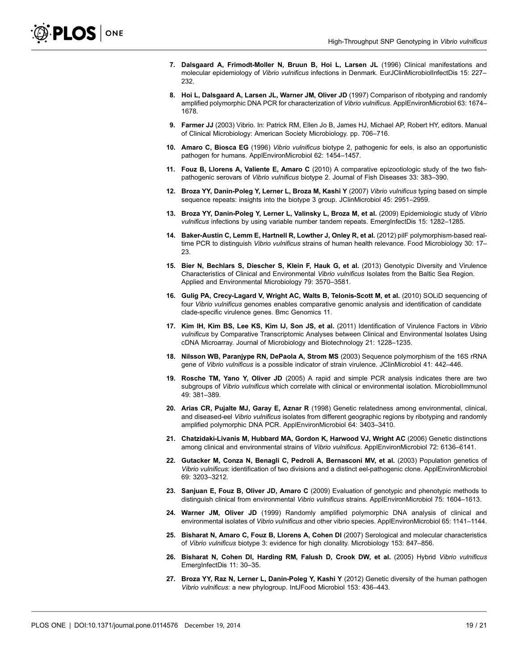- <span id="page-18-0"></span>7. Dalsgaard A, Frimodt-Moller N, Bruun B, Hoi L, Larsen JL (1996) Clinical manifestations and molecular epidemiology of Vibrio vulnificus infections in Denmark. EurJClinMicrobiolInfectDis 15: 227-232.
- 8. Hoi L, Dalsgaard A, Larsen JL, Warner JM, Oliver JD (1997) Comparison of ribotyping and randomly amplified polymorphic DNA PCR for characterization of Vibrio vulnificus. ApplEnvironMicrobiol 63: 1674– 1678.
- 9. Farmer JJ (2003) Vibrio. In: Patrick RM, Ellen Jo B, James HJ, Michael AP, Robert HY, editors. Manual of Clinical Microbiology: American Society Microbiology. pp. 706–716.
- 10. Amaro C, Biosca EG (1996) Vibrio vulnificus biotype 2, pathogenic for eels, is also an opportunistic pathogen for humans. ApplEnvironMicrobiol 62: 1454–1457.
- 11. Fouz B, Llorens A, Valiente E, Amaro C (2010) A comparative epizootiologic study of the two fishpathogenic serovars of Vibrio vulnificus biotype 2. Journal of Fish Diseases 33: 383–390.
- 12. Broza YY, Danin-Poleg Y, Lerner L, Broza M, Kashi Y (2007) Vibrio vulnificus typing based on simple sequence repeats: insights into the biotype 3 group. JClinMicrobiol 45: 2951–2959.
- 13. Broza YY, Danin-Poleg Y, Lerner L, Valinsky L, Broza M, et al. (2009) Epidemiologic study of Vibrio vulnificus infections by using variable number tandem repeats. EmergInfectDis 15: 1282–1285.
- 14. Baker-Austin C, Lemm E, Hartnell R, Lowther J, Onley R, et al. (2012) pilF polymorphism-based realtime PCR to distinguish *Vibrio vulnificus* strains of human health relevance. Food Microbiology 30: 17– 23.
- 15. Bier N, Bechlars S, Diescher S, Klein F, Hauk G, et al. (2013) Genotypic Diversity and Virulence Characteristics of Clinical and Environmental Vibrio vulnificus Isolates from the Baltic Sea Region. Applied and Environmental Microbiology 79: 3570–3581.
- 16. Gulig PA, Crecy-Lagard V, Wright AC, Walts B, Telonis-Scott M, et al. (2010) SOLiD sequencing of four Vibrio vulnificus genomes enables comparative genomic analysis and identification of candidate clade-specific virulence genes. Bmc Genomics 11.
- 17. Kim IH, Kim BS, Lee KS, Kim IJ, Son JS, et al. (2011) Identification of Virulence Factors in Vibrio vulnificus by Comparative Transcriptomic Analyses between Clinical and Environmental Isolates Using cDNA Microarray. Journal of Microbiology and Biotechnology 21: 1228–1235.
- 18. Nilsson WB, Paranjype RN, DePaola A, Strom MS (2003) Sequence polymorphism of the 16S rRNA gene of Vibrio vulnificus is a possible indicator of strain virulence. JClinMicrobiol 41: 442–446.
- 19. Rosche TM, Yano Y, Oliver JD (2005) A rapid and simple PCR analysis indicates there are two subgroups of Vibrio vulnificus which correlate with clinical or environmental isolation. MicrobiolImmunol 49: 381–389.
- 20. Arias CR, Pujalte MJ, Garay E, Aznar R (1998) Genetic relatedness among environmental, clinical, and diseased-eel Vibrio vulnificus isolates from different geographic regions by ribotyping and randomly amplified polymorphic DNA PCR. ApplEnvironMicrobiol 64: 3403–3410.
- 21. Chatzidaki-Livanis M, Hubbard MA, Gordon K, Harwood VJ, Wright AC (2006) Genetic distinctions among clinical and environmental strains of Vibrio vulnificus. ApplEnvironMicrobiol 72: 6136–6141.
- 22. Gutacker M, Conza N, Benagli C, Pedroli A, Bernasconi MV, et al. (2003) Population genetics of Vibrio vulnificus: identification of two divisions and a distinct eel-pathogenic clone. ApplEnvironMicrobiol 69: 3203–3212.
- 23. Sanjuan E, Fouz B, Oliver JD, Amaro C (2009) Evaluation of genotypic and phenotypic methods to distinguish clinical from environmental Vibrio vulnificus strains. ApplEnvironMicrobiol 75: 1604–1613.
- 24. Warner JM, Oliver JD (1999) Randomly amplified polymorphic DNA analysis of clinical and environmental isolates of Vibrio vulnificus and other vibrio species. ApplEnvironMicrobiol 65: 1141–1144.
- 25. Bisharat N, Amaro C, Fouz B, Llorens A, Cohen DI (2007) Serological and molecular characteristics of Vibrio vulnificus biotype 3: evidence for high clonality. Microbiology 153: 847–856.
- 26. Bisharat N, Cohen DI, Harding RM, Falush D, Crook DW, et al. (2005) Hybrid Vibrio vulnificus EmergInfectDis 11: 30–35.
- 27. Broza YY, Raz N, Lerner L, Danin-Poleg Y, Kashi Y (2012) Genetic diversity of the human pathogen Vibrio vulnificus: a new phylogroup. IntJFood Microbiol 153: 436–443.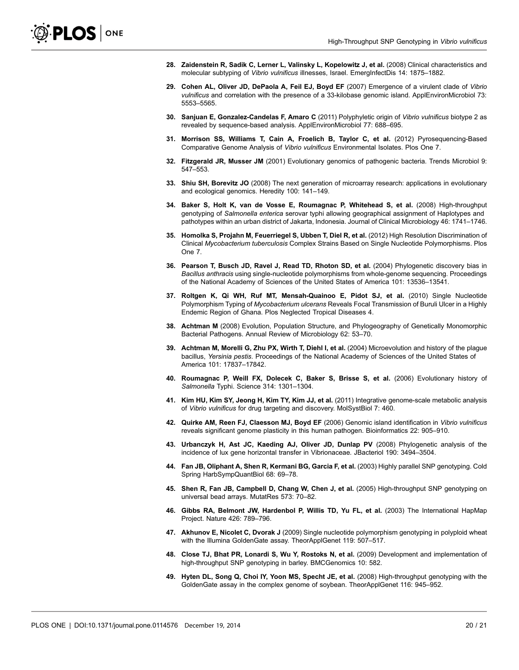- <span id="page-19-0"></span>28. Zaidenstein R, Sadik C, Lerner L, Valinsky L, Kopelowitz J, et al. (2008) Clinical characteristics and molecular subtyping of Vibrio vulnificus illnesses, Israel. EmergInfectDis 14: 1875–1882.
- 29. Cohen AL, Oliver JD, DePaola A, Feil EJ, Boyd EF (2007) Emergence of a virulent clade of Vibrio vulnificus and correlation with the presence of a 33-kilobase genomic island. ApplEnvironMicrobiol 73: 5553–5565.
- 30. Sanjuan E, Gonzalez-Candelas F, Amaro C (2011) Polyphyletic origin of Vibrio vulnificus biotype 2 as revealed by sequence-based analysis. ApplEnvironMicrobiol 77: 688–695.
- 31. Morrison SS, Williams T, Cain A, Froelich B, Taylor C, et al. (2012) Pyrosequencing-Based Comparative Genome Analysis of Vibrio vulnificus Environmental Isolates. Plos One 7.
- 32. Fitzgerald JR, Musser JM (2001) Evolutionary genomics of pathogenic bacteria. Trends Microbiol 9: 547–553.
- 33. Shiu SH, Borevitz JO (2008) The next generation of microarray research: applications in evolutionary and ecological genomics. Heredity 100: 141–149.
- 34. Baker S, Holt K, van de Vosse E, Roumagnac P, Whitehead S, et al. (2008) High-throughput genotyping of Salmonella enterica serovar typhi allowing geographical assignment of Haplotypes and pathotypes within an urban district of Jakarta, Indonesia. Journal of Clinical Microbiology 46: 1741–1746.
- 35. Homolka S, Projahn M, Feuerriegel S, Ubben T, Diel R, et al. (2012) High Resolution Discrimination of Clinical Mycobacterium tuberculosis Complex Strains Based on Single Nucleotide Polymorphisms. Plos One 7.
- 36. Pearson T, Busch JD, Ravel J, Read TD, Rhoton SD, et al. (2004) Phylogenetic discovery bias in Bacillus anthracis using single-nucleotide polymorphisms from whole-genome sequencing. Proceedings of the National Academy of Sciences of the United States of America 101: 13536–13541.
- 37. Roltgen K, Qi WH, Ruf MT, Mensah-Quainoo E, Pidot SJ, et al. (2010) Single Nucleotide Polymorphism Typing of Mycobacterium ulcerans Reveals Focal Transmission of Buruli Ulcer in a Highly Endemic Region of Ghana. Plos Neglected Tropical Diseases 4.
- 38. Achtman M (2008) Evolution, Population Structure, and Phylogeography of Genetically Monomorphic Bacterial Pathogens. Annual Review of Microbiology 62: 53–70.
- 39. Achtman M, Morelli G, Zhu PX, Wirth T, Diehl I, et al. (2004) Microevolution and history of the plague bacillus, Yersinia pestis. Proceedings of the National Academy of Sciences of the United States of America 101: 17837–17842.
- 40. Roumagnac P, Weill FX, Dolecek C, Baker S, Brisse S, et al. (2006) Evolutionary history of Salmonella Typhi. Science 314: 1301–1304.
- 41. Kim HU, Kim SY, Jeong H, Kim TY, Kim JJ, et al. (2011) Integrative genome-scale metabolic analysis of Vibrio vulnificus for drug targeting and discovery. MolSystBiol 7: 460.
- 42. Quirke AM, Reen FJ, Claesson MJ, Boyd EF (2006) Genomic island identification in Vibrio vulnificus reveals significant genome plasticity in this human pathogen. Bioinformatics 22: 905–910.
- 43. Urbanczyk H, Ast JC, Kaeding AJ, Oliver JD, Dunlap PV (2008) Phylogenetic analysis of the incidence of lux gene horizontal transfer in Vibrionaceae. JBacteriol 190: 3494–3504.
- 44. Fan JB, Oliphant A, Shen R, Kermani BG, Garcia F, et al. (2003) Highly parallel SNP genotyping. Cold Spring HarbSympQuantBiol 68: 69–78.
- 45. Shen R, Fan JB, Campbell D, Chang W, Chen J, et al. (2005) High-throughput SNP genotyping on universal bead arrays. MutatRes 573: 70–82.
- 46. Gibbs RA, Belmont JW, Hardenbol P, Willis TD, Yu FL, et al. (2003) The International HapMap Project. Nature 426: 789–796.
- 47. Akhunov E, Nicolet C, Dvorak J (2009) Single nucleotide polymorphism genotyping in polyploid wheat with the Illumina GoldenGate assay. TheorApplGenet 119: 507–517.
- 48. Close TJ, Bhat PR, Lonardi S, Wu Y, Rostoks N, et al. (2009) Development and implementation of high-throughput SNP genotyping in barley. BMCGenomics 10: 582.
- 49. Hyten DL, Song Q, Choi IY, Yoon MS, Specht JE, et al. (2008) High-throughput genotyping with the GoldenGate assay in the complex genome of soybean. TheorApplGenet 116: 945–952.